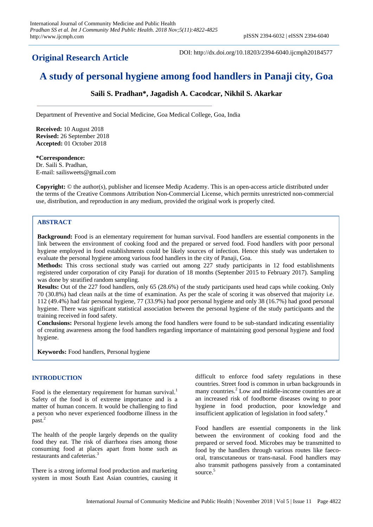**Original Research Article**

DOI: http://dx.doi.org/10.18203/2394-6040.ijcmph20184577

# **A study of personal hygiene among food handlers in Panaji city, Goa**

**Saili S. Pradhan\*, Jagadish A. Cacodcar, Nikhil S. Akarkar**

Department of Preventive and Social Medicine, Goa Medical College, Goa, India

**Received:** 10 August 2018 **Revised:** 26 September 2018 **Accepted:** 01 October 2018

**\*Correspondence:** Dr. Saili S. Pradhan, E-mail: sailisweets@gmail.com

**Copyright:** © the author(s), publisher and licensee Medip Academy. This is an open-access article distributed under the terms of the Creative Commons Attribution Non-Commercial License, which permits unrestricted non-commercial use, distribution, and reproduction in any medium, provided the original work is properly cited.

# **ABSTRACT**

**Background:** Food is an elementary requirement for human survival. Food handlers are essential components in the link between the environment of cooking food and the prepared or served food. Food handlers with poor personal hygiene employed in food establishments could be likely sources of infection. Hence this study was undertaken to evaluate the personal hygiene among various food handlers in the city of Panaji, Goa.

**Methods:** This cross sectional study was carried out among 227 study participants in 12 food establishments registered under corporation of city Panaji for duration of 18 months (September 2015 to February 2017). Sampling was done by stratified random sampling.

**Results:** Out of the 227 food handlers, only 65 (28.6%) of the study participants used head caps while cooking. Only 70 (30.8%) had clean nails at the time of examination. As per the scale of scoring it was observed that majority i.e. 112 (49.4%) had fair personal hygiene, 77 (33.9%) had poor personal hygiene and only 38 (16.7%) had good personal hygiene. There was significant statistical association between the personal hygiene of the study participants and the training received in food safety.

**Conclusions:** Personal hygiene levels among the food handlers were found to be sub-standard indicating essentiality of creating awareness among the food handlers regarding importance of maintaining good personal hygiene and food hygiene.

**Keywords:** Food handlers, Personal hygiene

#### **INTRODUCTION**

Food is the elementary requirement for human survival.<sup>1</sup> Safety of the food is of extreme importance and is a matter of human concern. It would be challenging to find a person who never experienced foodborne illness in the past.<sup>2</sup>

The health of the people largely depends on the quality food they eat. The risk of diarrhoea rises among those consuming food at places apart from home such as restaurants and cafeterias.<sup>3</sup>

There is a strong informal food production and marketing system in most South East Asian countries, causing it difficult to enforce food safety regulations in these countries. Street food is common in urban backgrounds in many countries.<sup>2</sup> Low and middle-income countries are at an increased risk of foodborne diseases owing to poor hygiene in food production, poor knowledge and insufficient application of legislation in food safety.<sup>4</sup>

Food handlers are essential components in the link between the environment of cooking food and the prepared or served food. Microbes may be transmitted to food by the handlers through various routes like faecooral, transcutaneous or trans-nasal. Food handlers may also transmit pathogens passively from a contaminated source.<sup>5</sup>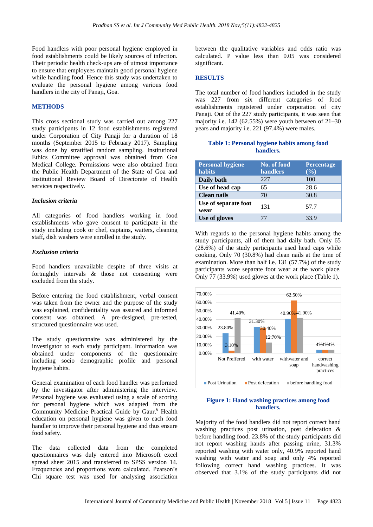Food handlers with poor personal hygiene employed in food establishments could be likely sources of infection. Their periodic health check-ups are of utmost importance to ensure that employees maintain good personal hygiene while handling food. Hence this study was undertaken to evaluate the personal hygiene among various food handlers in the city of Panaji, Goa.

## **METHODS**

This cross sectional study was carried out among 227 study participants in 12 food establishments registered under Corporation of City Panaji for a duration of 18 months (September 2015 to February 2017). Sampling was done by stratified random sampling. Institutional Ethics Committee approval was obtained from Goa Medical College. Permissions were also obtained from the Public Health Department of the State of Goa and Institutional Review Board of Directorate of Health services respectively.

#### *Inclusion criteria*

All categories of food handlers working in food establishments who gave consent to participate in the study including cook or chef, captains**,** waiters**,** cleaning staff**,** dish washers were enrolled in the study.

## *Exclusion criteria*

Food handlers unavailable despite of three visits at fortnightly intervals & those not consenting were excluded from the study.

Before entering the food establishment, verbal consent was taken from the owner and the purpose of the study was explained, confidentiality was assured and informed consent was obtained. A pre-designed, pre-tested, structured questionnaire was used.

The study questionnaire was administered by the investigator to each study participant. Information was obtained under components of the questionnaire including socio demographic profile and personal hygiene habits.

General examination of each food handler was performed by the investigator after administering the interview. Personal hygiene was evaluated using a scale of scoring for personal hygiene which was adapted from the Community Medicine Practical Guide by Gaur.<sup>6</sup> Health education on personal hygiene was given to each food handler to improve their personal hygiene and thus ensure food safety.

The data collected data from the completed questionnaires was duly entered into Microsoft excel spread sheet 2015 and transferred to SPSS version 14. Frequencies and proportions were calculated. Pearson's Chi square test was used for analysing association between the qualitative variables and odds ratio was calculated. P value less than 0.05 was considered significant.

#### **RESULTS**

The total number of food handlers included in the study was 227 from six different categories of food establishments registered under corporation of city Panaji. Out of the 227 study participants, it was seen that majority i.e. 142 (62.55%) were youth between of 21–30 years and majority i.e. 221 (97.4%) were males.

#### **Table 1: Personal hygiene habits among food handlers.**

| <b>Personal hygiene</b><br>habits | No. of food<br>handlers | <b>Percentage</b><br>$(\%)$ |
|-----------------------------------|-------------------------|-----------------------------|
| Daily bath                        | 227                     | 100                         |
| Use of head cap                   | 65                      | 28.6                        |
| <b>Clean nails</b>                | 70                      | 30.8                        |
| Use of separate foot<br>wear      | 131                     | 57.7                        |
| Use of gloves                     |                         | 33.9                        |

With regards to the personal hygiene habits among the study participants, all of them had daily bath. Only 65 (28.6%) of the study participants used head caps while cooking. Only 70 (30.8%) had clean nails at the time of examination. More than half i.e. 131 (57.7%) of the study participants wore separate foot wear at the work place. Only 77 (33.9%) used gloves at the work place (Table 1).



## **Figure 1: Hand washing practices among food handlers.**

Majority of the food handlers did not report correct hand washing practices post urination, post defecation & before handling food. 23.8% of the study participants did not report washing hands after passing urine, 31.3% reported washing with water only, 40.9% reported hand washing with water and soap and only 4% reported following correct hand washing practices. It was observed that 3.1% of the study participants did not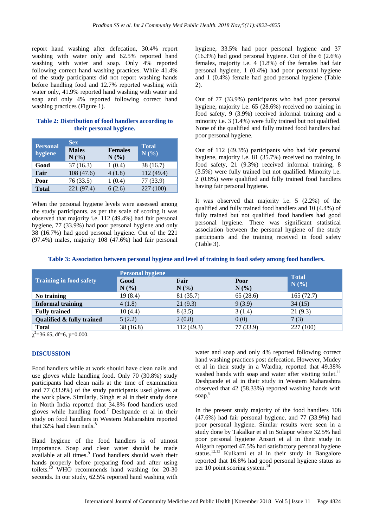report hand washing after defecation, 30.4% report washing with water only and 62.5% reported hand washing with water and soap. Only 4% reported following correct hand washing practices. While 41.4% of the study participants did not report washing hands before handling food and 12.7% reported washing with water only, 41.9% reported hand washing with water and soap and only 4% reported following correct hand washing practices (Figure 1).

# **Table 2: Distribution of food handlers according to their personal hygiene.**

|                            | <b>Sex</b>           |                        | <b>Total</b> |  |
|----------------------------|----------------------|------------------------|--------------|--|
| <b>Personal</b><br>hygiene | <b>Males</b><br>N(%) | <b>Females</b><br>N(%) | N(%)         |  |
| Good                       | 37(16.3)             | 1(0.4)                 | 38 (16.7)    |  |
| Fair                       | 108(47.6)            | 4(1.8)                 | 112 (49.4)   |  |
| Poor                       | 76(33.5)             | 1(0.4)                 | 77 (33.9)    |  |
| <b>Total</b>               | 221 (97.4)           | 6(2.6)                 | 227 (100)    |  |

When the personal hygiene levels were assessed among the study participants, as per the scale of scoring it was observed that majority i.e. 112 (49.4%) had fair personal hygiene, 77 (33.9%) had poor personal hygiene and only 38 (16.7%) had good personal hygiene. Out of the 221 (97.4%) males, majority 108 (47.6%) had fair personal hygiene, 33.5% had poor personal hygiene and 37 (16.3%) had good personal hygiene. Out of the 6 (2.6%) females, majority i.e. 4 (1.8%) of the females had fair personal hygiene, 1 (0.4%) had poor personal hygiene and 1 (0.4%) female had good personal hygiene (Table 2).

Out of 77 (33.9%) participants who had poor personal hygiene, majority i.e. 65 (28.6%) received no training in food safety, 9 (3.9%) received informal training and a minority i.e. 3 (1.4%) were fully trained but not qualified. None of the qualified and fully trained food handlers had poor personal hygiene.

Out of 112 (49.3%) participants who had fair personal hygiene, majority i.e. 81 (35.7%) received no training in food safety, 21 (9.3%) received informal training, 8 (3.5%) were fully trained but not qualified. Minority i.e. 2 (0.8%) were qualified and fully trained food handlers having fair personal hygiene.

It was observed that majority i.e. 5 (2.2%) of the qualified and fully trained food handlers and 10 (4.4%) of fully trained but not qualified food handlers had good personal hygiene. There was significant statistical association between the personal hygiene of the study participants and the training received in food safety (Table 3).

| Table 3: Association between personal hygiene and level of training in food safety among food handlers. |  |  |
|---------------------------------------------------------------------------------------------------------|--|--|
|                                                                                                         |  |  |

|                                | <b>Personal hygiene</b> |            |           | <b>Total</b> |
|--------------------------------|-------------------------|------------|-----------|--------------|
| <b>Training in food safety</b> | Good                    | Fair       | Poor      | N(%)         |
|                                | N(%)                    | N(%        | N(%)      |              |
| No training                    | 19(8.4)                 | 81 (35.7)  | 65(28.6)  | 165(72.7)    |
| <b>Informal training</b>       | 4(1.8)                  | 21(9.3)    | 9(3.9)    | 34(15)       |
| <b>Fully trained</b>           | 10(4.4)                 | 8(3.5)     | 3(1.4)    | 21(9.3)      |
| Qualified & fully trained      | 5(2.2)                  | 2(0.8)     | 0(0)      | 7(3)         |
| <b>Total</b>                   | 38(16.8)                | 112 (49.3) | 77 (33.9) | 227 (100)    |

 $\chi^2$ =36.65, df=6, p=0.000.

# **DISCUSSION**

Food handlers while at work should have clean nails and use gloves while handling food. Only 70 (30.8%) study participants had clean nails at the time of examination and 77 (33.9%) of the study participants used gloves at the work place. Similarly, Singh et al in their study done in North India reported that 34.8% food handlers used gloves while handling food.<sup>7</sup> Deshpande et al in their study on food handlers in Western Maharashtra reported that  $32\%$  had clean nails.<sup>8</sup>

Hand hygiene of the food handlers is of utmost importance. Soap and clean water should be made available at all times.<sup>9</sup> Food handlers should wash their hands properly before preparing food and after using toilets.<sup>10</sup> WHO recommends hand washing for 20-30 seconds. In our study, 62.5% reported hand washing with water and soap and only 4% reported following correct hand washing practices post defecation. However, Mudey et al in their study in a Wardha, reported that 49.38% washed hands with soap and water after visiting toilet.<sup>11</sup> Deshpande et al in their study in Western Maharashtra observed that 42 (58.33%) reported washing hands with soap.<sup>8</sup>

In the present study majority of the food handlers 108 (47.6%) had fair personal hygiene, and 77 (33.9%) had poor personal hygiene. Similar results were seen in a study done by Takalkar et al in Solapur where 32.5% had poor personal hygiene Ansari et al in their study in Aligarh reported 47.5% had satisfactory personal hygiene status.12,13 Kulkarni et al in their study in Bangalore reported that 16.8% had good personal hygiene status as per 10 point scoring system. $<sup>1</sup>$ </sup>